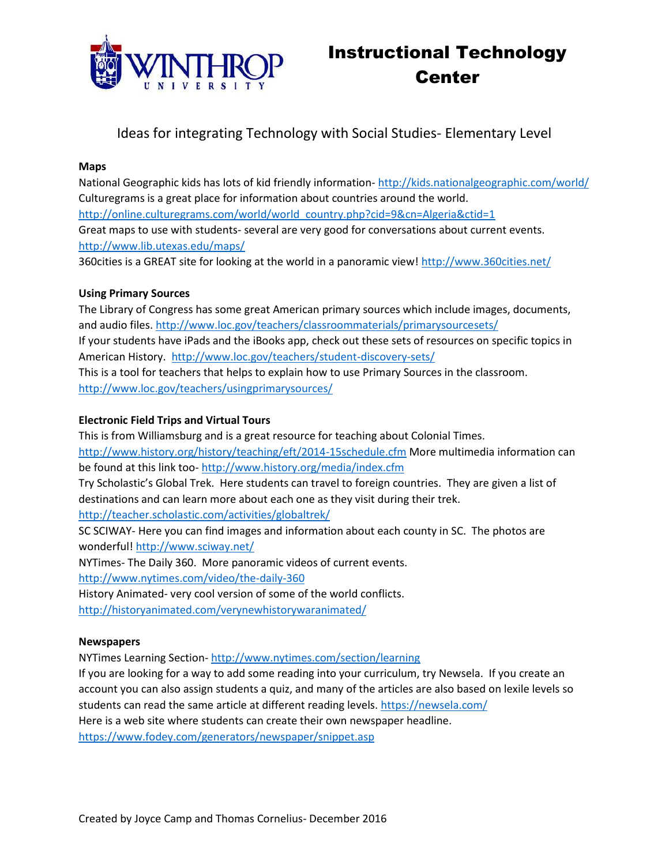

# Ideas for integrating Technology with Social Studies- Elementary Level

### **Maps**

National Geographic kids has lots of kid friendly information- <http://kids.nationalgeographic.com/world/> Culturegrams is a great place for information about countries around the world. [http://online.culturegrams.com/world/world\\_country.php?cid=9&cn=Algeria&ctid=1](http://online.culturegrams.com/world/world_country.php?cid=9&cn=Algeria&ctid=1) Great maps to use with students- several are very good for conversations about current events. <http://www.lib.utexas.edu/maps/>

360cities is a GREAT site for looking at the world in a panoramic view!<http://www.360cities.net/>

# **Using Primary Sources**

The Library of Congress has some great American primary sources which include images, documents, and audio files[. http://www.loc.gov/teachers/classroommaterials/primarysourcesets/](http://www.loc.gov/teachers/classroommaterials/primarysourcesets/) If your students have iPads and the iBooks app, check out these sets of resources on specific topics in American History. <http://www.loc.gov/teachers/student-discovery-sets/> This is a tool for teachers that helps to explain how to use Primary Sources in the classroom. <http://www.loc.gov/teachers/usingprimarysources/>

# **Electronic Field Trips and Virtual Tours**

This is from Williamsburg and is a great resource for teaching about Colonial Times. <http://www.history.org/history/teaching/eft/2014-15schedule.cfm> More multimedia information can be found at this link too- <http://www.history.org/media/index.cfm> Try Scholastic's Global Trek. Here students can travel to foreign countries. They are given a list of

destinations and can learn more about each one as they visit during their trek.

<http://teacher.scholastic.com/activities/globaltrek/>

SC SCIWAY- Here you can find images and information about each county in SC. The photos are wonderful!<http://www.sciway.net/>

NYTimes- The Daily 360. More panoramic videos of current events.

<http://www.nytimes.com/video/the-daily-360>

History Animated- very cool version of some of the world conflicts.

<http://historyanimated.com/verynewhistorywaranimated/>

# **Newspapers**

NYTimes Learning Section- <http://www.nytimes.com/section/learning>

If you are looking for a way to add some reading into your curriculum, try Newsela. If you create an account you can also assign students a quiz, and many of the articles are also based on lexile levels so students can read the same article at different reading levels[. https://newsela.com/](https://newsela.com/) Here is a web site where students can create their own newspaper headline.

<https://www.fodey.com/generators/newspaper/snippet.asp>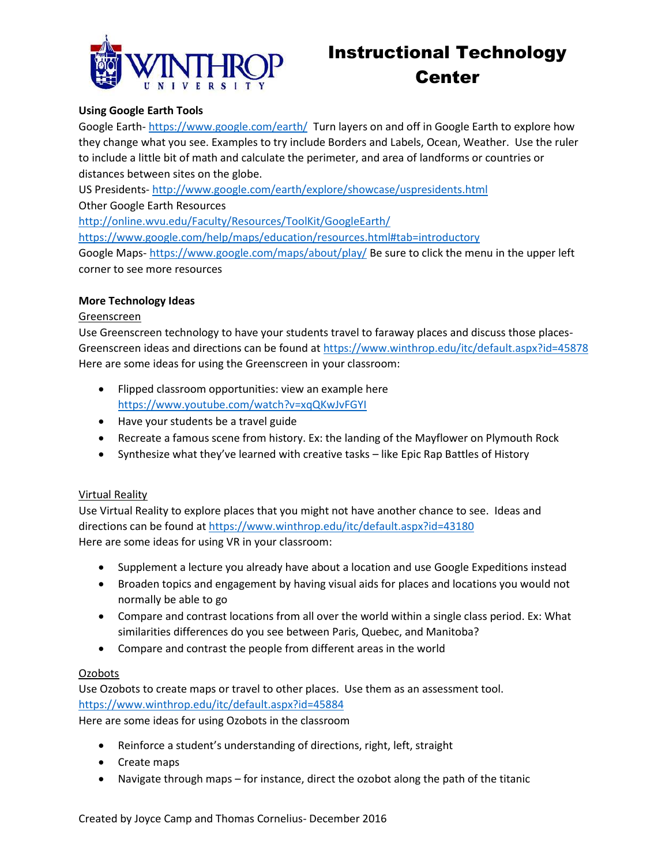

# Instructional Technology Center

# **Using Google Earth Tools**

Google Earth- <https://www.google.com/earth/>Turn layers on and off in Google Earth to explore how they change what you see. Examples to try include Borders and Labels, Ocean, Weather. Use the ruler to include a little bit of math and calculate the perimeter, and area of landforms or countries or distances between sites on the globe.

US Presidents- <http://www.google.com/earth/explore/showcase/uspresidents.html>

Other Google Earth Resources

<http://online.wvu.edu/Faculty/Resources/ToolKit/GoogleEarth/>

<https://www.google.com/help/maps/education/resources.html#tab=introductory>

Google Maps- <https://www.google.com/maps/about/play/> Be sure to click the menu in the upper left corner to see more resources

#### **More Technology Ideas**

#### Greenscreen

Use Greenscreen technology to have your students travel to faraway places and discuss those places-Greenscreen ideas and directions can be found at<https://www.winthrop.edu/itc/default.aspx?id=45878> Here are some ideas for using the Greenscreen in your classroom:

- Flipped classroom opportunities: view an example here <https://www.youtube.com/watch?v=xqQKwJvFGYI>
- Have your students be a travel guide
- Recreate a famous scene from history. Ex: the landing of the Mayflower on Plymouth Rock
- Synthesize what they've learned with creative tasks like Epic Rap Battles of History

#### Virtual Reality

Use Virtual Reality to explore places that you might not have another chance to see. Ideas and directions can be found at<https://www.winthrop.edu/itc/default.aspx?id=43180> Here are some ideas for using VR in your classroom:

- Supplement a lecture you already have about a location and use Google Expeditions instead
- Broaden topics and engagement by having visual aids for places and locations you would not normally be able to go
- Compare and contrast locations from all over the world within a single class period. Ex: What similarities differences do you see between Paris, Quebec, and Manitoba?
- Compare and contrast the people from different areas in the world

# Ozobots

Use Ozobots to create maps or travel to other places. Use them as an assessment tool. <https://www.winthrop.edu/itc/default.aspx?id=45884>

Here are some ideas for using Ozobots in the classroom

- Reinforce a student's understanding of directions, right, left, straight
- Create maps
- Navigate through maps for instance, direct the ozobot along the path of the titanic

Created by Joyce Camp and Thomas Cornelius- December 2016